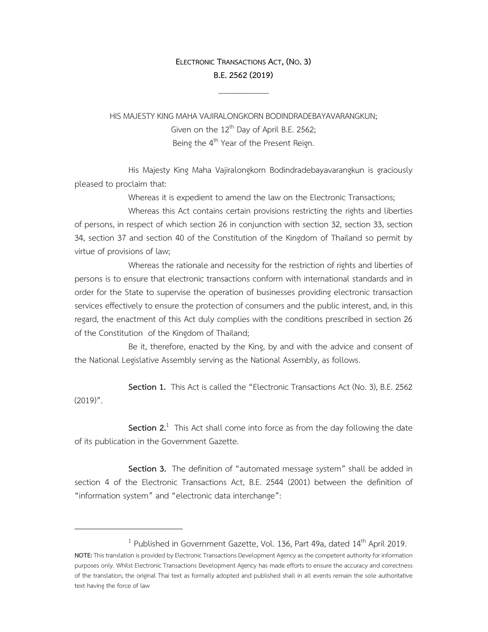## **ELECTRONIC TRANSACTIONS ACT, (NO.3) B.E.2562(2019)**

 $\mathcal{L}_\text{max}$ 

HIS MAJESTY KING MAHA VAJIRALONGKORN BODINDRADEBAYAVARANGKUN; Given on the  $12<sup>th</sup>$  Day of April B.E. 2562; Being the 4<sup>th</sup> Year of the Present Reign.

 His Majesty King Maha Vajiralongkorn Bodindradebayavarangkun is graciously pleased to proclaim that:

Whereas it is expedient to amend the law on the Electronic Transactions;

 Whereas this Act contains certain provisions restricting the rights and liberties of persons, in respect of which section 26 in conjunction with section 32, section 33, section 34, section 37 and section 40 of the Constitution of the Kingdom of Thailand so permit by virtue of provisions of law;

 Whereas the rationale and necessity for the restriction of rights and liberties of persons is to ensure that electronic transactions conform with international standards and in order for the State to supervise the operation of businesses providing electronic transaction services effectively to ensure the protection of consumers and the public interest, and, in this regard, the enactment of this Act duly complies with the conditions prescribed in section 26 of the Constitution of the Kingdom of Thailand;

 Be it, therefore, enacted by the King, by and with the advice and consent of the National Legislative Assembly serving as the National Assembly, as follows.

 **Section 1.** This Act is called the "Electronic Transactions Act (No. 3), B.E. 2562  $(2019)$ ".

**Section 2.**<sup>1</sup> This Act shall come into force as from the day following the date of its publication in the Government Gazette.

 **Section 3.** The definition of "automated message system" shall be added in section 4 of the Electronic Transactions Act, B.E. 2544 (2001) between the definition of "information system" and "electronic data interchange":

<sup>1</sup> Published in Government Gazette, Vol. 136, Part 49a, dated 14<sup>th</sup> April 2019.

**NOTE:** This translation is provided by Electronic Transactions Development Agency as the competent authority for information purposes only. Whilst Electronic Transactions Development Agency has made efforts to ensure the accuracy and correctness of the translation, the original Thai text as formally adopted and published shall in all events remain the sole authoritative text having the force of law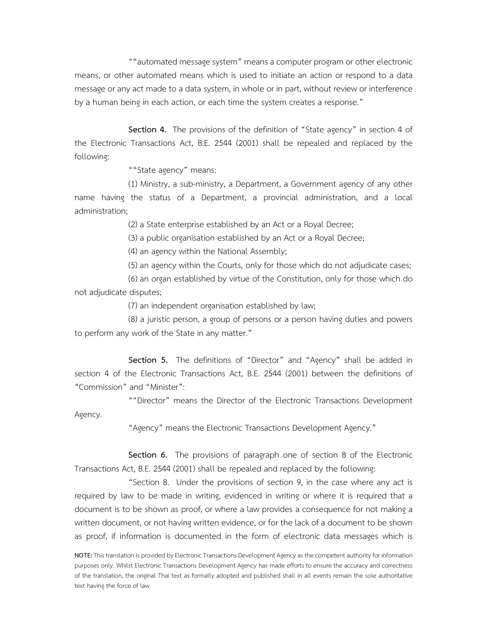""automated message system" means a computer program or other electronic means, or other automated means which is used to initiate an action or respond to a data message or any act made to a data system, in whole or in part, without review or interference by a human being in each action, or each time the system creates a response."

 **Section 4.** The provisions of the definition of "State agency" in section 4 of the Electronic Transactions Act, B.E. 2544 (2001) shall be repealed and replaced by the following:

""State agency" means:

 (1) Ministry, a sub-ministry, a Department, a Government agency of any other name having the status of a Department, a provincial administration, and a local administration;

(2) a State enterprise established by an Act or a Royal Decree;

(3) a public organisation established by an Act or a Royal Decree;

(4) an agency within the National Assembly;

(5) an agency within the Courts, only for those which do not adjudicate cases;

 (6) an organ established by virtue of the Constitution, only for those which do not adjudicate disputes;

(7) an independent organisation established by law;

 (8) a juristic person, a group of persons or a person having duties and powers to perform any work of the State in any matter."

 **Section 5.** The definitions of "Director" and "Agency" shall be added in section 4 of the Electronic Transactions Act, B.E. 2544 (2001) between the definitions of "Commission" and "Minister":

 ""Director" means the Director of the Electronic Transactions Development Agency.

"Agency" means the Electronic Transactions Development Agency."

 **Section 6.** The provisions of paragraph one of section 8 of the Electronic Transactions Act, B.E. 2544 (2001) shall be repealed and replaced by the following:

 "Section 8. Under the provisions of section 9, in the case where any act is required by law to be made in writing, evidenced in writing or where it is required that a document is to be shown as proof, or where a law provides a consequence for not making a written document, or not having written evidence, or for the lack of a document to be shown as proof, if information is documented in the form of electronic data messages which is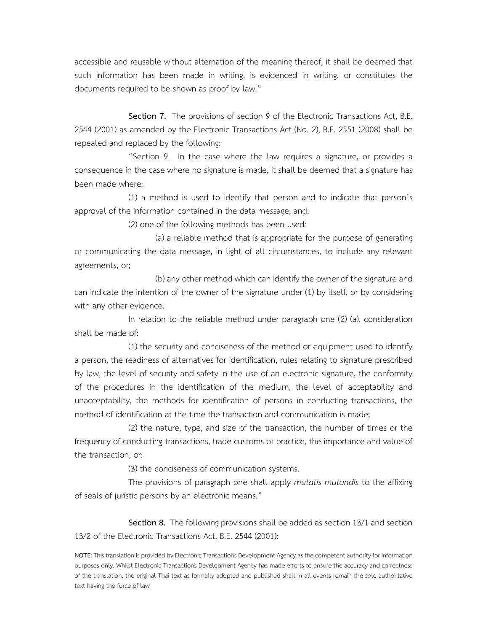accessible and reusable without alternation of the meaning thereof, it shall be deemed that such information has been made in writing, is evidenced in writing, or constitutes the documents required to be shown as proof by law."

Section 7. The provisions of section 9 of the Electronic Transactions Act, B.E. 2544 (2001) as amended by the Electronic Transactions Act (No. 2), B.E. 2551 (2008) shall be repealed and replaced by the following:

 "Section 9. In the case where the law requires a signature, or provides a consequence in the case where no signature is made, it shall be deemed that a signature has been made where:

 (1) a method is used to identify that person and to indicate that person's approval of the information contained in the data message; and:

(2) one of the following methods has been used:

 (a) a reliable method that is appropriate for the purpose of generating or communicating the data message, in light of all circumstances, to include any relevant agreements, or;

 (b) any other method which can identify the owner of the signature and can indicate the intention of the owner of the signature under (1) by itself, or by considering with any other evidence.

 In relation to the reliable method under paragraph one (2) (a), consideration shall be made of:

 (1) the security and conciseness of the method or equipment used to identify a person, the readiness of alternatives for identification, rules relating to signature prescribed by law, the level of security and safety in the use of an electronic signature, the conformity of the procedures in the identification of the medium, the level of acceptability and unacceptability, the methods for identification of persons in conducting transactions, the method of identification at the time the transaction and communication is made;

 (2) the nature, type, and size of the transaction, the number of times or the frequency of conducting transactions, trade customs or practice, the importance and value of the transaction, or:

(3) the conciseness of communication systems.

 The provisions of paragraph one shall apply *mutatis mutandis* to the affixing of seals of juristic persons by an electronic means."

 **Section 8.** The following provisions shall be added as section 13/1 and section 13/2 of the Electronic Transactions Act, B.E. 2544 (2001):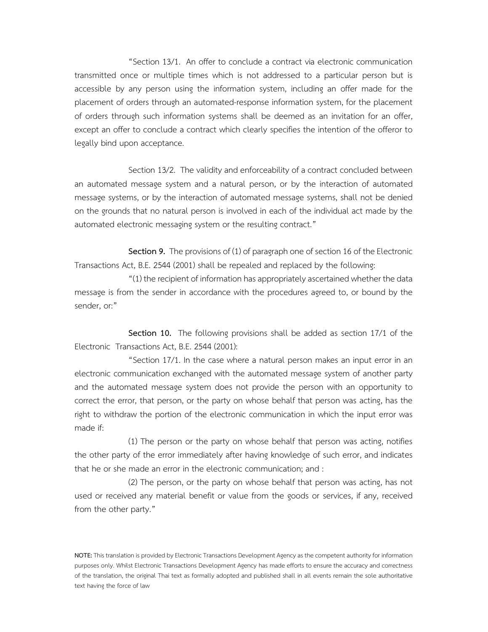"Section 13/1. An offer to conclude a contract via electronic communication transmitted once or multiple times which is not addressed to a particular person but is accessible by any person using the information system, including an offer made for the placement of orders through an automated-response information system, for the placement of orders through such information systems shall be deemed as an invitation for an offer, except an offer to conclude a contract which clearly specifies the intention of the offeror to legally bind upon acceptance.

 Section 13/2. The validity and enforceability of a contract concluded between an automated message system and a natural person, or by the interaction of automated message systems, or by the interaction of automated message systems, shall not be denied on the grounds that no natural person is involved in each of the individual act made by the automated electronic messaging system or the resulting contract."

 **Section 9.** The provisions of (1) of paragraph one of section 16 of the Electronic Transactions Act, B.E. 2544 (2001) shall be repealed and replaced by the following:

 "(1) the recipient of information has appropriately ascertained whether the data message is from the sender in accordance with the procedures agreed to, or bound by the sender, or:"

 **Section 10.** The following provisions shall be added as section 17/1 of the Electronic Transactions Act, B.E. 2544 (2001):

 "Section 17/1. In the case where a natural person makes an input error in an electronic communication exchanged with the automated message system of another party and the automated message system does not provide the person with an opportunity to correct the error, that person, or the party on whose behalf that person was acting, has the right to withdraw the portion of the electronic communication in which the input error was made if:

 (1) The person or the party on whose behalf that person was acting, notifies the other party of the error immediately after having knowledge of such error, and indicates that he or she made an error in the electronic communication; and :

 (2) The person, or the party on whose behalf that person was acting, has not used or received any material benefit or value from the goods or services, if any, received from the other party."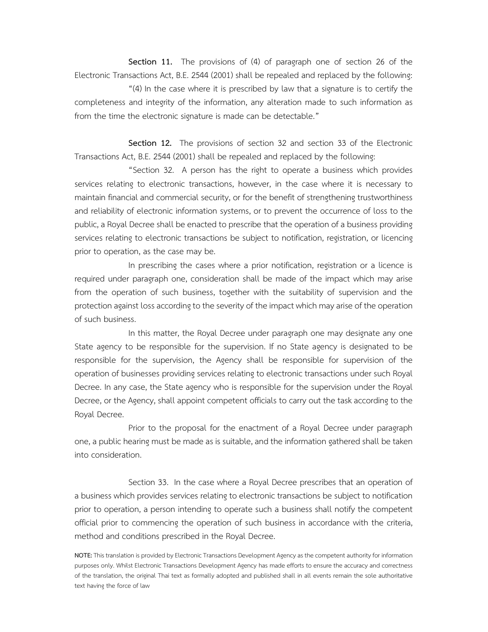**Section 11.** The provisions of (4) of paragraph one of section 26 of the Electronic Transactions Act, B.E. 2544 (2001) shall be repealed and replaced by the following:

 "(4) In the case where it is prescribed by law that a signature is to certify the completeness and integrity of the information, any alteration made to such information as from the time the electronic signature is made can be detectable."

 **Section 12.** The provisions of section 32 and section 33 of the Electronic Transactions Act, B.E. 2544 (2001) shall be repealed and replaced by the following:

"Section 32. A person has the right to operate a business which provides services relating to electronic transactions, however, in the case where it is necessary to maintain financial and commercial security, or for the benefit of strengthening trustworthiness and reliability of electronic information systems, or to prevent the occurrence of loss to the public, a Royal Decree shall be enacted to prescribe that the operation of a business providing services relating to electronic transactions be subject to notification, registration, or licencing prior to operation, as the case may be.

In prescribing the cases where a prior notification, registration or a licence is required under paragraph one, consideration shall be made of the impact which may arise from the operation of such business, together with the suitability of supervision and the protection against loss according to the severity of the impact which may arise of the operation of such business.

In this matter, the Royal Decree under paragraph one may designate any one State agency to be responsible for the supervision. If no State agency is designated to be responsible for the supervision, the Agency shall be responsible for supervision of the operation of businesses providing services relating to electronic transactions under such Royal Decree. In any case, the State agency who is responsible for the supervision under the Royal Decree, or the Agency, shall appoint competent officials to carry out the task according to the Royal Decree.

Prior to the proposal for the enactment of a Royal Decree under paragraph one, a public hearing must be made as is suitable, and the information gathered shall be taken into consideration.

 Section 33. In the case where a Royal Decree prescribes that an operation of a business which provides services relating to electronic transactions be subject to notification prior to operation, a person intending to operate such a business shall notify the competent official prior to commencing the operation of such business in accordance with the criteria, method and conditions prescribed in the Royal Decree.

**NOTE:** This translation is provided by Electronic Transactions Development Agency as the competent authority for information purposes only. Whilst Electronic Transactions Development Agency has made efforts to ensure the accuracy and correctness of the translation, the original Thai text as formally adopted and published shall in all events remain the sole authoritative text having the force of law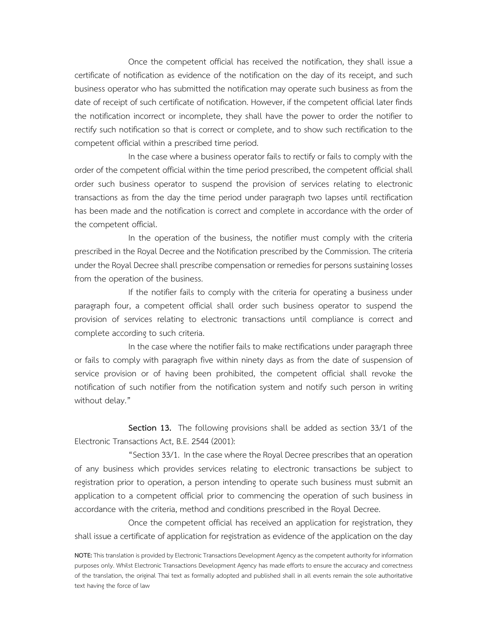Once the competent official has received the notification, they shall issue a certificate of notification as evidence of the notification on the day of its receipt, and such business operator who has submitted the notification may operate such business as from the date of receipt of such certificate of notification. However, if the competent official later finds the notification incorrect or incomplete, they shall have the power to order the notifier to rectify such notification so that is correct or complete, and to show such rectification to the competent official within a prescribed time period.

 In the case where a business operator fails to rectify or fails to comply with the order of the competent official within the time period prescribed, the competent official shall order such business operator to suspend the provision of services relating to electronic transactions as from the day the time period under paragraph two lapses until rectification has been made and the notification is correct and complete in accordance with the order of the competent official.

 In the operation of the business, the notifier must comply with the criteria prescribed in the Royal Decree and the Notification prescribed by the Commission. The criteria under the Royal Decree shall prescribe compensation or remedies for persons sustaining losses from the operation of the business.

 If the notifier fails to comply with the criteria for operating a business under paragraph four, a competent official shall order such business operator to suspend the provision of services relating to electronic transactions until compliance is correct and complete according to such criteria.

 In the case where the notifier fails to make rectifications under paragraph three or fails to comply with paragraph five within ninety days as from the date of suspension of service provision or of having been prohibited, the competent official shall revoke the notification of such notifier from the notification system and notify such person in writing without delay."

 **Section 13.** The following provisions shall be added as section 33/1 of the Electronic Transactions Act, B.E. 2544 (2001):

 "Section 33/1. In the case where the Royal Decree prescribes that an operation of any business which provides services relating to electronic transactions be subject to registration prior to operation, a person intending to operate such business must submit an application to a competent official prior to commencing the operation of such business in accordance with the criteria, method and conditions prescribed in the Royal Decree.

 Once the competent official has received an application for registration, they shall issue a certificate of application for registration as evidence of the application on the day

**NOTE:** This translation is provided by Electronic Transactions Development Agency as the competent authority for information purposes only. Whilst Electronic Transactions Development Agency has made efforts to ensure the accuracy and correctness of the translation, the original Thai text as formally adopted and published shall in all events remain the sole authoritative text having the force of law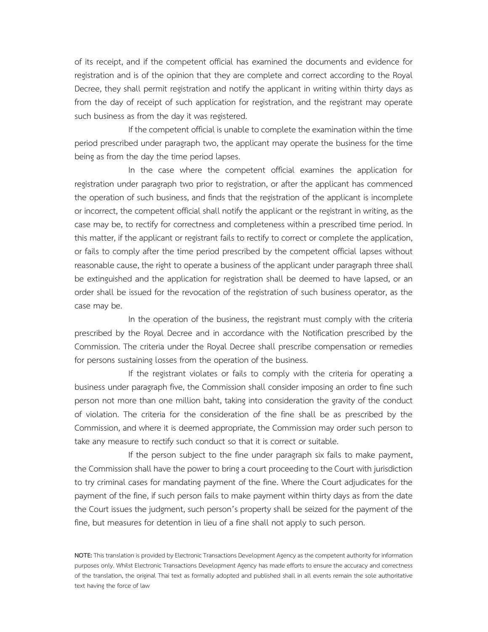of its receipt, and if the competent official has examined the documents and evidence for registration and is of the opinion that they are complete and correct according to the Royal Decree, they shall permit registration and notify the applicant in writing within thirty days as from the day of receipt of such application for registration, and the registrant may operate such business as from the day it was registered.

 If the competent official is unable to complete the examination within the time period prescribed under paragraph two, the applicant may operate the business for the time being as from the day the time period lapses.

 In the case where the competent official examines the application for registration under paragraph two prior to registration, or after the applicant has commenced the operation of such business, and finds that the registration of the applicant is incomplete or incorrect, the competent official shall notify the applicant or the registrant in writing, as the case may be, to rectify for correctness and completeness within a prescribed time period. In this matter, if the applicant or registrant fails to rectify to correct or complete the application, or fails to comply after the time period prescribed by the competent official lapses without reasonable cause, the right to operate a business of the applicant under paragraph three shall be extinguished and the application for registration shall be deemed to have lapsed, or an order shall be issued for the revocation of the registration of such business operator, as the case may be.

 In the operation of the business, the registrant must comply with the criteria prescribed by the Royal Decree and in accordance with the Notification prescribed by the Commission. The criteria under the Royal Decree shall prescribe compensation or remedies for persons sustaining losses from the operation of the business.

 If the registrant violates or fails to comply with the criteria for operating a business under paragraph five, the Commission shall consider imposing an order to fine such person not more than one million baht, taking into consideration the gravity of the conduct of violation. The criteria for the consideration of the fine shall be as prescribed by the Commission, and where it is deemed appropriate, the Commission may order such person to take any measure to rectify such conduct so that it is correct or suitable.

 If the person subject to the fine under paragraph six fails to make payment, the Commission shall have the power to bring a court proceeding to the Court with jurisdiction to try criminal cases for mandating payment of the fine. Where the Court adjudicates for the payment of the fine, if such person fails to make payment within thirty days as from the date the Court issues the judgment, such person's property shall be seized for the payment of the fine, but measures for detention in lieu of a fine shall not apply to such person.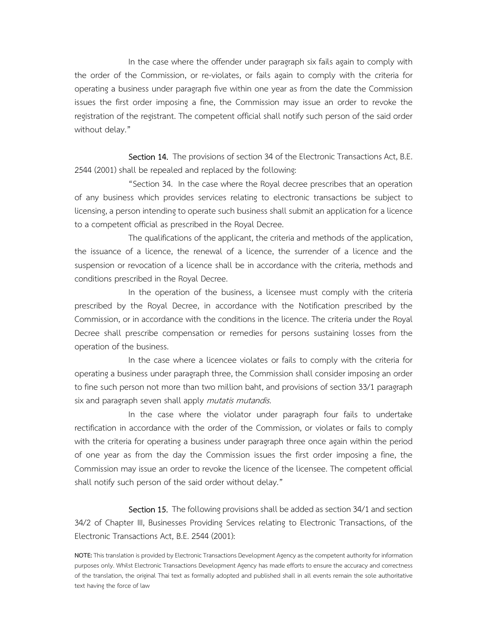In the case where the offender under paragraph six fails again to comply with the order of the Commission, or re-violates, or fails again to comply with the criteria for operating a business under paragraph five within one year as from the date the Commission issues the first order imposing a fine, the Commission may issue an order to revoke the registration of the registrant. The competent official shall notify such person of the said order without delay."

Section 14. The provisions of section 34 of the Electronic Transactions Act, B.E. 2544 (2001) shall be repealed and replaced by the following:

 "Section 34. In the case where the Royal decree prescribes that an operation of any business which provides services relating to electronic transactions be subject to licensing, a person intending to operate such business shall submit an application for a licence to a competent official as prescribed in the Royal Decree.

 The qualifications of the applicant, the criteria and methods of the application, the issuance of a licence, the renewal of a licence, the surrender of a licence and the suspension or revocation of a licence shall be in accordance with the criteria, methods and conditions prescribed in the Royal Decree.

 In the operation of the business, a licensee must comply with the criteria prescribed by the Royal Decree, in accordance with the Notification prescribed by the Commission, or in accordance with the conditions in the licence. The criteria under the Royal Decree shall prescribe compensation or remedies for persons sustaining losses from the operation of the business.

 In the case where a licencee violates or fails to comply with the criteria for operating a business under paragraph three, the Commission shall consider imposing an order to fine such person not more than two million baht, and provisions of section 33/1 paragraph six and paragraph seven shall apply mutatis mutandis.

 In the case where the violator under paragraph four fails to undertake rectification in accordance with the order of the Commission, or violates or fails to comply with the criteria for operating a business under paragraph three once again within the period of one year as from the day the Commission issues the first order imposing a fine, the Commission may issue an order to revoke the licence of the licensee. The competent official shall notify such person of the said order without delay."

Section 15. The following provisions shall be added as section 34/1 and section 34/2 of Chapter III, Businesses Providing Services relating to Electronic Transactions, of the Electronic Transactions Act, B.E. 2544 (2001):

**NOTE:** This translation is provided by Electronic Transactions Development Agency as the competent authority for information purposes only. Whilst Electronic Transactions Development Agency has made efforts to ensure the accuracy and correctness of the translation, the original Thai text as formally adopted and published shall in all events remain the sole authoritative text having the force of law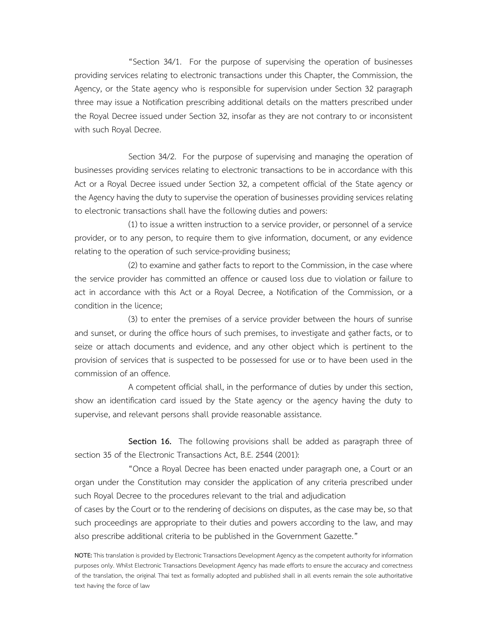"Section 34/1. For the purpose of supervising the operation of businesses providing services relating to electronic transactions under this Chapter, the Commission, the Agency, or the State agency who is responsible for supervision under Section 32 paragraph three may issue a Notification prescribing additional details on the matters prescribed under the Royal Decree issued under Section 32, insofar as they are not contrary to or inconsistent with such Royal Decree.

 Section 34/2. For the purpose of supervising and managing the operation of businesses providing services relating to electronic transactions to be in accordance with this Act or a Royal Decree issued under Section 32, a competent official of the State agency or the Agency having the duty to supervise the operation of businesses providing services relating to electronic transactions shall have the following duties and powers:

 (1) to issue a written instruction to a service provider, or personnel of a service provider, or to any person, to require them to give information, document, or any evidence relating to the operation of such service-providing business;

 (2) to examine and gather facts to report to the Commission, in the case where the service provider has committed an offence or caused loss due to violation or failure to act in accordance with this Act or a Royal Decree, a Notification of the Commission, or a condition in the licence;

 (3) to enter the premises of a service provider between the hours of sunrise and sunset, or during the office hours of such premises, to investigate and gather facts, or to seize or attach documents and evidence, and any other object which is pertinent to the provision of services that is suspected to be possessed for use or to have been used in the commission of an offence.

 A competent official shall, in the performance of duties by under this section, show an identification card issued by the State agency or the agency having the duty to supervise, and relevant persons shall provide reasonable assistance.

 **Section 16.** The following provisions shall be added as paragraph three of section 35 of the Electronic Transactions Act, B.E. 2544 (2001):

 "Once a Royal Decree has been enacted under paragraph one, a Court or an organ under the Constitution may consider the application of any criteria prescribed under such Royal Decree to the procedures relevant to the trial and adjudication

of cases by the Court or to the rendering of decisions on disputes, as the case may be, so that such proceedings are appropriate to their duties and powers according to the law, and may also prescribe additional criteria to be published in the Government Gazette."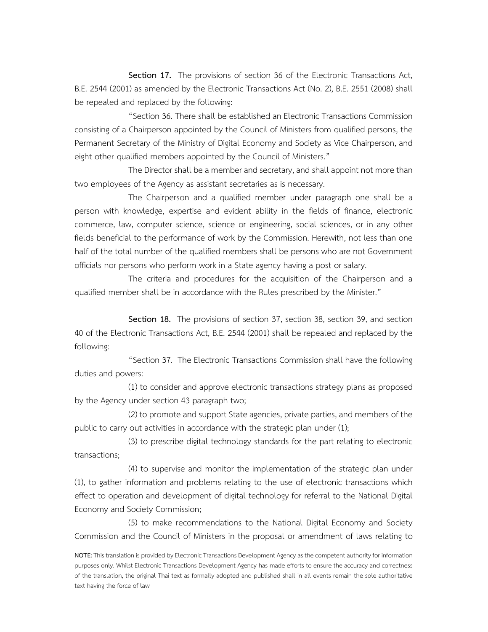**Section 17.** The provisions of section 36 of the Electronic Transactions Act, B.E. 2544 (2001) as amended by the Electronic Transactions Act (No. 2), B.E. 2551 (2008) shall be repealed and replaced by the following:

 "Section 36. There shall be established an Electronic Transactions Commission consisting of a Chairperson appointed by the Council of Ministers from qualified persons, the Permanent Secretary of the Ministry of Digital Economy and Society as Vice Chairperson, and eight other qualified members appointed by the Council of Ministers."

 The Director shall be a member and secretary, and shall appoint not more than two employees of the Agency as assistant secretaries as is necessary.

 The Chairperson and a qualified member under paragraph one shall be a person with knowledge, expertise and evident ability in the fields of finance, electronic commerce, law, computer science, science or engineering, social sciences, or in any other fields beneficial to the performance of work by the Commission. Herewith, not less than one half of the total number of the qualified members shall be persons who are not Government officials nor persons who perform work in a State agency having a post or salary.

 The criteria and procedures for the acquisition of the Chairperson and a qualified member shall be in accordance with the Rules prescribed by the Minister."

 **Section 18.** The provisions of section 37, section 38, section 39, and section 40 of the Electronic Transactions Act, B.E. 2544 (2001) shall be repealed and replaced by the following:

 "Section 37. The Electronic Transactions Commission shall have the following duties and powers:

 (1) to consider and approve electronic transactions strategy plans as proposed by the Agency under section 43 paragraph two;

 (2) to promote and support State agencies, private parties, and members of the public to carry out activities in accordance with the strategic plan under (1);

 (3) to prescribe digital technology standards for the part relating to electronic transactions;

 (4) to supervise and monitor the implementation of the strategic plan under (1), to gather information and problems relating to the use of electronic transactions which effect to operation and development of digital technology for referral to the National Digital Economy and Society Commission;

 (5) to make recommendations to the National Digital Economy and Society Commission and the Council of Ministers in the proposal or amendment of laws relating to

**NOTE:** This translation is provided by Electronic Transactions Development Agency as the competent authority for information purposes only. Whilst Electronic Transactions Development Agency has made efforts to ensure the accuracy and correctness of the translation, the original Thai text as formally adopted and published shall in all events remain the sole authoritative text having the force of law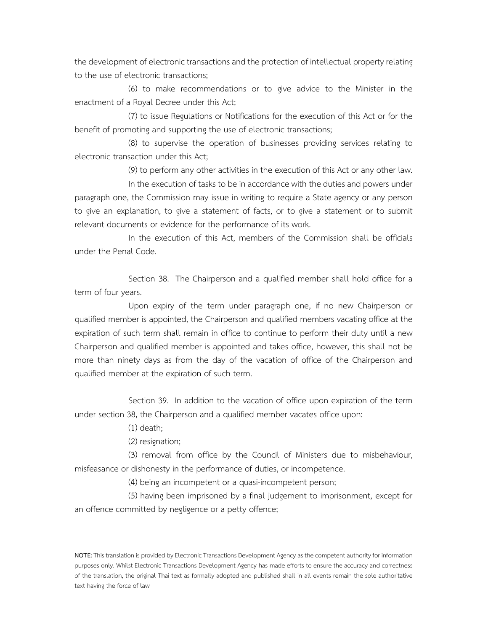the development of electronic transactions and the protection of intellectual property relating to the use of electronic transactions;

 (6) to make recommendations or to give advice to the Minister in the enactment of a Royal Decree under this Act;

 (7) to issue Regulations or Notifications for the execution of this Act or for the benefit of promoting and supporting the use of electronic transactions;

 (8) to supervise the operation of businesses providing services relating to electronic transaction under this Act;

(9) to perform any other activities in the execution of this Act or any other law.

 In the execution of tasks to be in accordance with the duties and powers under paragraph one, the Commission may issue in writing to require a State agency or any person to give an explanation, to give a statement of facts, or to give a statement or to submit relevant documents or evidence for the performance of its work.

 In the execution of this Act, members of the Commission shall be officials under the Penal Code.

 Section 38. The Chairperson and a qualified member shall hold office for a term of four years.

 Upon expiry of the term under paragraph one, if no new Chairperson or qualified member is appointed, the Chairperson and qualified members vacating office at the expiration of such term shall remain in office to continue to perform their duty until a new Chairperson and qualified member is appointed and takes office, however, this shall not be more than ninety days as from the day of the vacation of office of the Chairperson and qualified member at the expiration of such term.

 Section 39. In addition to the vacation of office upon expiration of the term under section 38, the Chairperson and a qualified member vacates office upon:

(1) death;

(2) resignation;

 (3) removal from office by the Council of Ministers due to misbehaviour, misfeasance or dishonesty in the performance of duties, or incompetence.

(4) being an incompetent or a quasi-incompetent person;

 (5) having been imprisoned by a final judgement to imprisonment, except for an offence committed by negligence or a petty offence;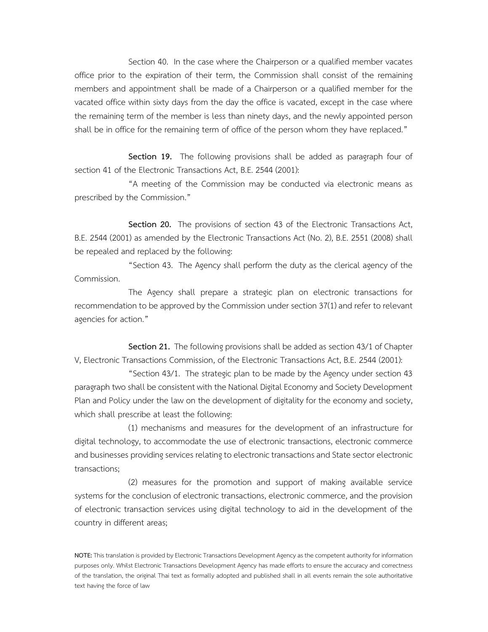Section 40. In the case where the Chairperson or a qualified member vacates office prior to the expiration of their term, the Commission shall consist of the remaining members and appointment shall be made of a Chairperson or a qualified member for the vacated office within sixty days from the day the office is vacated, except in the case where the remaining term of the member is less than ninety days, and the newly appointed person shall be in office for the remaining term of office of the person whom they have replaced."

 **Section 19.** The following provisions shall be added as paragraph four of section 41 of the Electronic Transactions Act, B.E. 2544 (2001):

 "A meeting of the Commission may be conducted via electronic means as prescribed by the Commission."

 **Section 20.** The provisions of section 43 of the Electronic Transactions Act, B.E. 2544 (2001) as amended by the Electronic Transactions Act (No. 2), B.E. 2551 (2008) shall be repealed and replaced by the following:

 "Section 43. The Agency shall perform the duty as the clerical agency of the Commission.

 The Agency shall prepare a strategic plan on electronic transactions for recommendation to be approved by the Commission under section 37(1) and refer to relevant agencies for action."

 **Section 21.** The following provisions shall be added as section 43/1 of Chapter V, Electronic Transactions Commission, of the Electronic Transactions Act, B.E. 2544 (2001):

 "Section 43/1. The strategic plan to be made by the Agency under section 43 paragraph two shall be consistent with the National Digital Economy and Society Development Plan and Policy under the law on the development of digitality for the economy and society, which shall prescribe at least the following:

 (1) mechanisms and measures for the development of an infrastructure for digital technology, to accommodate the use of electronic transactions, electronic commerce and businesses providing services relating to electronic transactions and State sector electronic transactions;

 (2) measures for the promotion and support of making available service systems for the conclusion of electronic transactions, electronic commerce, and the provision of electronic transaction services using digital technology to aid in the development of the country in different areas;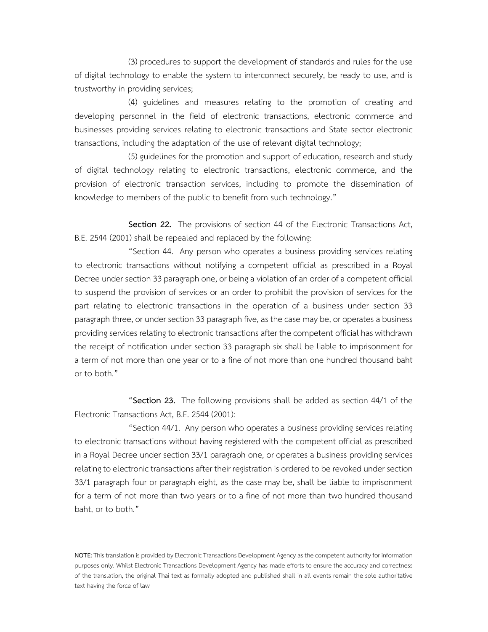(3) procedures to support the development of standards and rules for the use of digital technology to enable the system to interconnect securely, be ready to use, and is trustworthy in providing services;

 (4) guidelines and measures relating to the promotion of creating and developing personnel in the field of electronic transactions, electronic commerce and businesses providing services relating to electronic transactions and State sector electronic transactions, including the adaptation of the use of relevant digital technology;

 (5) guidelines for the promotion and support of education, research and study of digital technology relating to electronic transactions, electronic commerce, and the provision of electronic transaction services, including to promote the dissemination of knowledge to members of the public to benefit from such technology."

 **Section 22.** The provisions of section 44 of the Electronic Transactions Act, B.E. 2544 (2001) shall be repealed and replaced by the following:

 "Section 44. Any person who operates a business providing services relating to electronic transactions without notifying a competent official as prescribed in a Royal Decree under section 33 paragraph one, or being a violation of an order of a competent official to suspend the provision of services or an order to prohibit the provision of services for the part relating to electronic transactions in the operation of a business under section 33 paragraph three, or under section 33 paragraph five, as the case may be, or operates a business providing services relating to electronic transactions after the competent official has withdrawn the receipt of notification under section 33 paragraph six shall be liable to imprisonment for a term of not more than one year or to a fine of not more than one hundred thousand baht or to both."

 "**Section 23.** The following provisions shall be added as section 44/1 of the Electronic Transactions Act, B.E. 2544 (2001):

 "Section 44/1. Any person who operates a business providing services relating to electronic transactions without having registered with the competent official as prescribed in a Royal Decree under section 33/1 paragraph one, or operates a business providing services relating to electronic transactions after their registration is ordered to be revoked under section 33/1 paragraph four or paragraph eight, as the case may be, shall be liable to imprisonment for a term of not more than two years or to a fine of not more than two hundred thousand baht, or to both."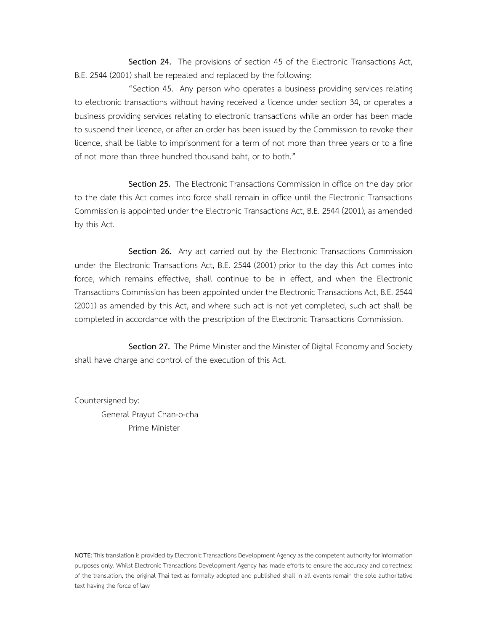**Section 24.** The provisions of section 45 of the Electronic Transactions Act, B.E. 2544 (2001) shall be repealed and replaced by the following:

 "Section 45. Any person who operates a business providing services relating to electronic transactions without having received a licence under section 34, or operates a business providing services relating to electronic transactions while an order has been made to suspend their licence, or after an order has been issued by the Commission to revoke their licence, shall be liable to imprisonment for a term of not more than three years or to a fine of not more than three hundred thousand baht, or to both."

 **Section 25.** The Electronic Transactions Commission in office on the day prior to the date this Act comes into force shall remain in office until the Electronic Transactions Commission is appointed under the Electronic Transactions Act, B.E. 2544 (2001), as amended by this Act.

 **Section 26.** Any act carried out by the Electronic Transactions Commission under the Electronic Transactions Act, B.E. 2544 (2001) prior to the day this Act comes into force, which remains effective, shall continue to be in effect, and when the Electronic Transactions Commission has been appointed under the Electronic Transactions Act, B.E. 2544 (2001) as amended by this Act, and where such act is not yet completed, such act shall be completed in accordance with the prescription of the Electronic Transactions Commission.

 **Section 27.** The Prime Minister and the Minister of Digital Economy and Society shall have charge and control of the execution of this Act.

Countersigned by:

 General Prayut Chan-o-cha Prime Minister